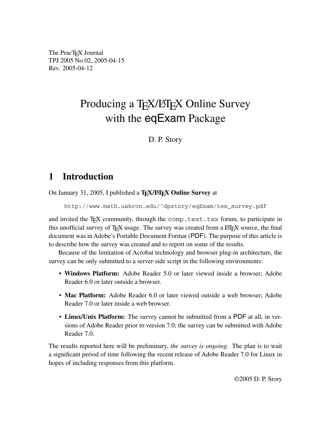The PracT<sub>EX</sub> Journal TPJ 2005 No 02, 2005-04-15 Rev. 2005-04-12

## Producing a T<sub>E</sub>X/LAT<sub>EX</sub> Online Survey with the eqExam Package

D. P. Story

## **1 Introduction**

On January 31, 2005, I published a T<sub>E</sub>X/LIF<sub>E</sub>X Online Survey at

http://www.math.uakron.edu/˜dpstory/eqExam/tex\_survey.pdf

and invited the T<sub>EX</sub> community, through the comp.text.tex forum, to participate in this unofficial survey of T<sub>E</sub>X usage. The survey was created from a LAT<sub>E</sub>X source, the final document was in Adobe's Portable Document Format (PDF). The purpose of this article is to describe how the survey was created and to report on some of the results.

Because of the limitation of Acrobat technology and browser plug-in architecture, the survey can be only submitted to a server-side script in the following environments:

- **Windows Platform:** Adobe Reader 5.0 or later viewed inside a browser; Adobe Reader 6.0 or later outside a browser.
- **Mac Platform:** Adobe Reader 6.0 or later viewed outside a web browser; Adobe Reader 7.0 or later inside a web browser.
- **Linux/Unix Platform:** The survey cannot be submitted from a PDF at all, in versions of Adobe Reader prior to version 7.0; the survey can be submitted with Adobe Reader 7.0.

The results reported here will be preliminary, *the survey is ongoing*. The plan is to wait a significant period of time following the recent release of Adobe Reader 7.0 for Linux in hopes of including responses from this platform.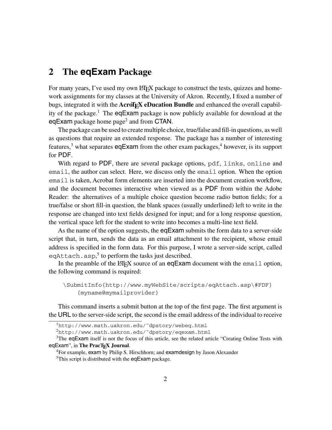## **2 The eqExam Package**

For many years, I've used my own LATEX package to construct the tests, quizzes and homework assignments for my classes at the University of Akron. Recently, I fixed a number of bugs, integrated it with the **AcroT<sub>E</sub>X** eDucation Bundle and enhanced the overall capability of the package.<sup>1</sup> The eqExam package is now publicly available for download at the eqExam package home page<sup>2</sup> and from CTAN.

The package can be used to create multiple choice, true/false and fill-in questions, as well as questions that require an extended response. The package has a number of interesting features, $3$  what separates eqExam from the other exam packages, $4$  however, is its support for PDF.

With regard to PDF, there are several package options, pdf, links, online and email, the author can select. Here, we discuss only the email option. When the option email is taken, Acrobat form elements are inserted into the document creation workflow, and the document becomes interactive when viewed as a PDF from within the Adobe Reader: the alternatives of a multiple choice question become radio button fields; for a true/false or short fill-in question, the blank spaces (usually underlined) left to write in the response are changed into text fields designed for input; and for a long response question, the vertical space left for the student to write into becomes a multi-line text field.

As the name of the option suggests, the eqExam submits the form data to a server-side script that, in turn, sends the data as an email attachment to the recipient, whose email address is specified in the form data. For this purpose, I wrote a server-side script, called eqAttach.asp,<sup>5</sup> to perform the tasks just described.

In the preamble of the  $\Delta E$ <sub>EX</sub> source of an eqExam document with the email option, the following command is required:

```
\SubmitInfo{http://www.myWebSite/scripts/eqAttach.asp\#FDF}
{myname@mymailprovider}
```
This command inserts a submit button at the top of the first page. The first argument is the URL to the server-side script, the second is the email address of the individual to receive

<sup>2</sup>http://www.math.uakron.edu/˜dpstory/eqexam.html

<sup>1</sup>http://www.math.uakron.edu/˜dpstory/webeq.html

<sup>&</sup>lt;sup>3</sup>The eqExam itself is not the focus of this article, see the related article "Creating Online Tests with eqExam", in **The PracTEX Journal**.<br><sup>4</sup>For example, exam by Philip S. Hirschhorn; and examdesign by Jason Alexander

<sup>&</sup>lt;sup>5</sup>This script is distributed with the eqExam package.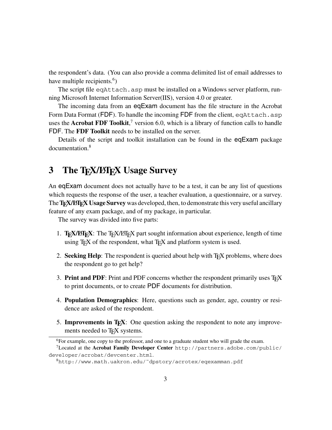the respondent's data. (You can also provide a comma delimited list of email addresses to have multiple recipients.<sup>6</sup>)

The script file eqAttach.asp must be installed on a Windows server platform, running Microsoft Internet Information Server(IIS), version 4.0 or greater.

The incoming data from an eqExam document has the file structure in the Acrobat Form Data Format (FDF). To handle the incoming FDF from the client, eqAttach.asp uses the **Acrobat FDF Toolkit**, <sup>7</sup> version 6.0, which is a library of function calls to handle FDF. The **FDF Toolkit** needs to be installed on the server.

Details of the script and toolkit installation can be found in the eqExam package documentation.8

## **3** The TEX/LIFEX Usage Survey

An eqExam document does not actually have to be a test, it can be any list of questions which requests the response of the user, a teacher evaluation, a questionnaire, or a survey. The **T<sub>E</sub>X/LIFEX Usage Survey** was developed, then, to demonstrate this very useful ancillary feature of any exam package, and of my package, in particular.

The survey was divided into five parts:

- 1. TEX/LATEX: The TEX/LATEX part sought information about experience, length of time using  $T<sub>F</sub>X$  of the respondent, what  $T<sub>F</sub>X$  and platform system is used.
- 2. **Seeking Help**: The respondent is queried about help with T<sub>E</sub>X problems, where does the respondent go to get help?
- 3. **Print and PDF**: Print and PDF concerns whether the respondent primarily uses  $T_F X$ to print documents, or to create PDF documents for distribution.
- 4. **Population Demographics**: Here, questions such as gender, age, country or residence are asked of the respondent.
- 5. **Improvements in TEX**: One question asking the respondent to note any improvements needed to T<sub>E</sub>X systems.

<sup>&</sup>lt;sup>6</sup>For example, one copy to the professor, and one to a graduate student who will grade the exam.

<sup>7</sup>Located at the **Acrobat Family Developer Center** http://partners.adobe.com/public/ developer/acrobat/devcenter.html.

 ${}^{8}$ http://www.math.uakron.edu/~dpstory/acrotex/eqexamman.pdf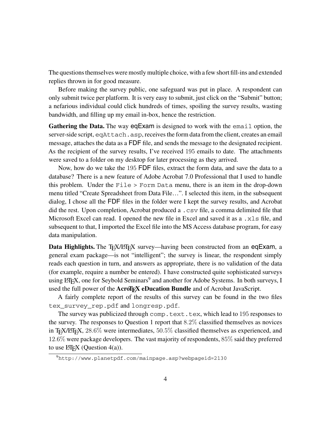The questions themselves were mostly multiple choice, with a few short fill-ins and extended replies thrown in for good measure.

Before making the survey public, one safeguard was put in place. A respondent can only submit twice per platform. It is very easy to submit, just click on the "Submit" button; a nefarious individual could click hundreds of times, spoiling the survey results, wasting bandwidth, and filling up my email in-box, hence the restriction.

**Gathering the Data.** The way eqExam is designed to work with the email option, the server-side script, eqAttach.asp, receives the form data from the client, creates an email message, attaches the data as a FDF file, and sends the message to the designated recipient. As the recipient of the survey results, I've received 195 emails to date. The attachments were saved to a folder on my desktop for later processing as they arrived.

Now, how do we take the 195 FDF files, extract the form data, and save the data to a database? There is a new feature of Adobe Acrobat 7.0 Professional that I used to handle this problem. Under the File > Form Data menu, there is an item in the drop-down menu titled "Create Spreadsheet from Data File…". I selected this item, in the subsequent dialog, I chose all the FDF files in the folder were I kept the survey results, and Acrobat did the rest. Upon completion, Acrobat produced a .csv file, a comma delimited file that Microsoft Excel can read. I opened the new file in Excel and saved it as a .xls file, and subsequent to that, I imported the Excel file into the MS Access database program, for easy data manipulation.

**Data Highlights.** The T<sub>E</sub>X/LIF<sub>E</sub>X survey—having been constructed from an eqExam, a general exam package—is not "intelligent"; the survey is linear, the respondent simply reads each question in turn, and answers as appropriate, there is no validation of the data (for example, require a number be entered). I have constructed quite sophisticated surveys using LATEX, one for Seybold Seminars<sup>9</sup> and another for Adobe Systems. In both surveys, I used the full power of the **AcroT<sub>E</sub>X** eDucation Bundle and of Acrobat JavaScript.

A fairly complete report of the results of this survey can be found in the two files tex\_survey\_rep.pdf and longresp.pdf.

The survey was publicized through comp.text.tex, which lead to 195 responses to the survey. The responses to Question 1 report that  $8.2\%$  classified themselves as novices in T<sub>E</sub>X/LIF<sub>E</sub>X, 28.6% were intermediates, 50.5% classified themselves as experienced, and 12.6% were package developers. The vast majority of respondents, 85% said they preferred to use  $\text{ETr}X$  (Ouestion 4(a)).

 $^{9}$ http://www.planetpdf.com/mainpage.asp?webpageid=2130